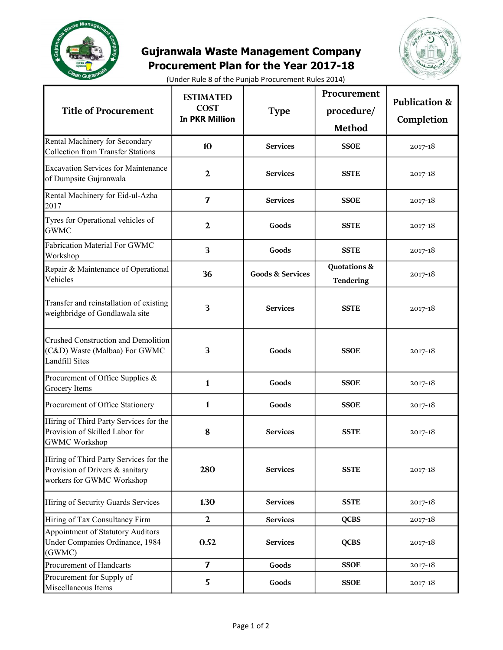

## Gujranwala Waste Management Company Procurement Plan for the Year 2017-18



(Under Rule 8 of the Punjab Procurement Rules 2014)

| <b>Title of Procurement</b>                                                                            | <b>ESTIMATED</b><br><b>COST</b><br><b>In PKR Million</b> | <b>Type</b>                 | Procurement<br>procedure/<br><b>Method</b> | <b>Publication &amp;</b><br>Completion |
|--------------------------------------------------------------------------------------------------------|----------------------------------------------------------|-----------------------------|--------------------------------------------|----------------------------------------|
| Rental Machinery for Secondary<br><b>Collection from Transfer Stations</b>                             | 10                                                       | <b>Services</b>             | <b>SSOE</b>                                | 2017-18                                |
| <b>Excavation Services for Maintenance</b><br>of Dumpsite Gujranwala                                   | $\mathbf{2}$                                             | <b>Services</b>             | <b>SSTE</b>                                | 2017-18                                |
| Rental Machinery for Eid-ul-Azha<br>2017                                                               | $\overline{\mathbf{z}}$                                  | <b>Services</b>             | <b>SSOE</b>                                | 2017-18                                |
| Tyres for Operational vehicles of<br><b>GWMC</b>                                                       | $\mathbf{2}$                                             | Goods                       | <b>SSTE</b>                                | 2017-18                                |
| Fabrication Material For GWMC<br>Workshop                                                              | 3                                                        | Goods                       | <b>SSTE</b>                                | 2017-18                                |
| Repair & Maintenance of Operational<br>Vehicles                                                        | 36                                                       | <b>Goods &amp; Services</b> | <b>Quotations &amp;</b><br>Tendering       | $2017 - 18$                            |
| Transfer and reinstallation of existing<br>weighbridge of Gondlawala site                              | 3                                                        | <b>Services</b>             | <b>SSTE</b>                                | 2017-18                                |
| <b>Crushed Construction and Demolition</b><br>(C&D) Waste (Malbaa) For GWMC<br><b>Landfill Sites</b>   | 3                                                        | Goods                       | <b>SSOE</b>                                | 2017-18                                |
| Procurement of Office Supplies &<br>Grocery Items                                                      | 1                                                        | Goods                       | <b>SSOE</b>                                | 2017-18                                |
| Procurement of Office Stationery                                                                       | $\mathbf{1}$                                             | Goods                       | <b>SSOE</b>                                | $2017 - 18$                            |
| Hiring of Third Party Services for the<br>Provision of Skilled Labor for<br><b>GWMC Workshop</b>       | 8                                                        | <b>Services</b>             | <b>SSTE</b>                                | 2017-18                                |
| Hiring of Third Party Services for the<br>Provision of Drivers & sanitary<br>workers for GWMC Workshop | 280                                                      | <b>Services</b>             | <b>SSTE</b>                                | $2017 - 18$                            |
| Hiring of Security Guards Services                                                                     | 1.30                                                     | <b>Services</b>             | <b>SSTE</b>                                | 2017-18                                |
| Hiring of Tax Consultancy Firm                                                                         | $\mathbf{2}$                                             | <b>Services</b>             | <b>QCBS</b>                                | 2017-18                                |
| Appointment of Statutory Auditors<br>Under Companies Ordinance, 1984<br>(GWMC)                         | 0.52                                                     | <b>Services</b>             | <b>QCBS</b>                                | $2017 - 18$                            |
| Procurement of Handcarts                                                                               | 7                                                        | Goods                       | <b>SSOE</b>                                | $2017 - 18$                            |
| Procurement for Supply of<br>Miscellaneous Items                                                       | 5                                                        | Goods                       | <b>SSOE</b>                                | 2017-18                                |